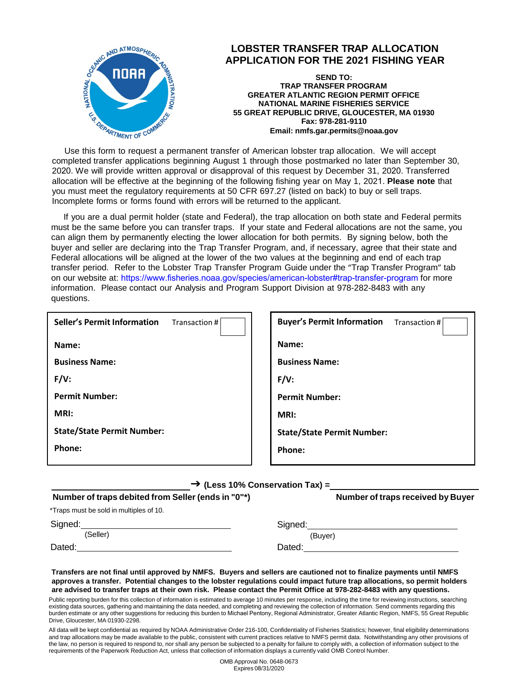

 completed transfer applications beginning August 1 through those postmarked no later than September 30, Use this form to request a permanent transfer of American lobster trap allocation. We will accept 2020. We will provide written approval or disapproval of this request by December 31, 2020. Transferred allocation will be effective at the beginning of the following fishing year on May 1, 2021. **Please note** that you must meet the regulatory requirements at 50 CFR 697.27 (listed on back) to buy or sell traps. Incomplete forms or forms found with errors will be returned to the applicant.

If you are a dual permit holder (state and Federal), the trap allocation on both state and Federal permits must be the same before you can transfer traps. If your state and Federal allocations are not the same, you can align them by permanently electing the lower allocation for both permits. By signing below, both the buyer and seller are declaring into the Trap Transfer Program, and, if necessary, agree that their state and Federal allocations will be aligned at the lower of the two values at the beginning and end of each trap transfer period. Refer to the Lobster Trap Transfer Program Guide under the "Trap Transfer Program" tab on our website at: htt[ps://www.fisheries.noaa.gov/species/american-lobster#trap-transfer-program](https://www.greateratlantic.fisheries.noaa.gov/sustainable/species/lobster/index.html) for more information. Please contact our Analysis and Program Support Division at 978-282-8483 with any questions.

| <b>Seller's Permit Information</b><br>Transaction # | <b>Buyer's Permit Information</b><br>Transaction # |
|-----------------------------------------------------|----------------------------------------------------|
| Name:                                               | Name:                                              |
| <b>Business Name:</b>                               | <b>Business Name:</b>                              |
| $F/V$ :                                             | $F/V$ :                                            |
| <b>Permit Number:</b>                               | <b>Permit Number:</b>                              |
| MRI:                                                | MRI:                                               |
| <b>State/State Permit Number:</b>                   | <b>State/State Permit Number:</b>                  |
| Phone:                                              | Phone:                                             |
|                                                     |                                                    |

 **(Less 10% Conservation Tax) =** 

| Number of traps debited from Seller (ends in "0"*) | Number of traps received by Buyer |
|----------------------------------------------------|-----------------------------------|
| *Traps must be sold in multiples of 10.            |                                   |
| Signed:                                            | Sianed:                           |
| (Seller)                                           | (Buver)                           |
| Dated:                                             | Dated:                            |
|                                                    |                                   |

 **approves a transfer. Potential changes to the lobster regulations could impact future trap allocations, so permit holders are advised to transfer traps at their own risk. Please contact the Permit Office at 978-282-8483 with any questions. Transfers are not final until approved by NMFS. Buyers and sellers are cautioned not to finalize payments until NMFS** 

 Public reporting burden for this collection of information is estimated to average 10 minutes per response, including the time for reviewing instructions, searching existing data sources, gathering and maintaining the data needed, and completing and reviewing the collection of information. Send comments regarding this burden estimate or any other suggestions for reducing this burden to Michael Pentony, Regional Administrator, Greater Atlantic Region, NMFS, 55 Great Republic Drive, Gloucester, MA 01930-2298.

 All data will be kept confidential as required by NOAA Administrative Order 216-100, Confidentiality of Fisheries Statistics; however, final eligibility determinations and trap allocations may be made available to the public, consistent with current practices relative to NMFS permit data. Notwithstanding any other provisions of the law, no person is required to respond to, nor shall any person be subjected to a penalty for failure to comply with, a collection of information subject to the requirements of the Paperwork Reduction Act, unless that collection of information displays a currently valid OMB Control Number.

> OMB Approval No. 0648-0673 Expires 08/31/2020